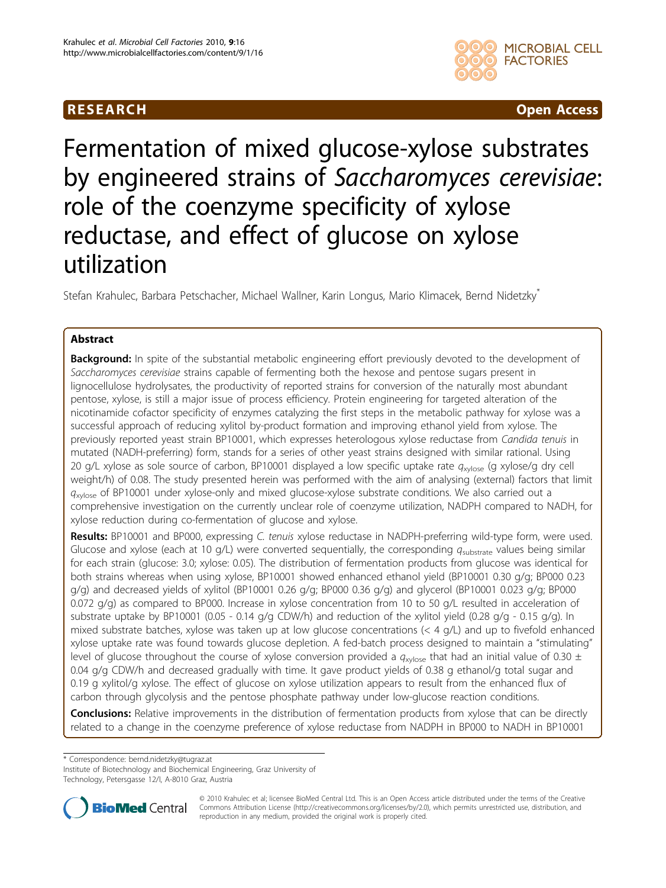

RESEARCH CHEARCH CHEART CHEART CHEART CHEART CHEART CHEART CHEART CHEART CHEART CHEART CHEART CHEART CHEART CH

# Fermentation of mixed glucose-xylose substrates by engineered strains of Saccharomyces cerevisiae: role of the coenzyme specificity of xylose reductase, and effect of glucose on xylose utilization

Stefan Krahulec, Barbara Petschacher, Michael Wallner, Karin Longus, Mario Klimacek, Bernd Nidetzky\*

# Abstract

Background: In spite of the substantial metabolic engineering effort previously devoted to the development of Saccharomyces cerevisiae strains capable of fermenting both the hexose and pentose sugars present in lignocellulose hydrolysates, the productivity of reported strains for conversion of the naturally most abundant pentose, xylose, is still a major issue of process efficiency. Protein engineering for targeted alteration of the nicotinamide cofactor specificity of enzymes catalyzing the first steps in the metabolic pathway for xylose was a successful approach of reducing xylitol by-product formation and improving ethanol yield from xylose. The previously reported yeast strain BP10001, which expresses heterologous xylose reductase from Candida tenuis in mutated (NADH-preferring) form, stands for a series of other yeast strains designed with similar rational. Using 20 g/L xylose as sole source of carbon, BP10001 displayed a low specific uptake rate  $q_{xylose}$  (g xylose/g dry cell weight/h) of 0.08. The study presented herein was performed with the aim of analysing (external) factors that limit  $q_{\text{xvlose}}$  of BP10001 under xylose-only and mixed glucose-xylose substrate conditions. We also carried out a comprehensive investigation on the currently unclear role of coenzyme utilization, NADPH compared to NADH, for xylose reduction during co-fermentation of glucose and xylose.

Results: BP10001 and BP000, expressing C. tenuis xylose reductase in NADPH-preferring wild-type form, were used. Glucose and xylose (each at 10 g/L) were converted sequentially, the corresponding  $q_{\text{substrate}}$  values being similar for each strain (glucose: 3.0; xylose: 0.05). The distribution of fermentation products from glucose was identical for both strains whereas when using xylose, BP10001 showed enhanced ethanol yield (BP10001 0.30 g/g; BP000 0.23 g/g) and decreased yields of xylitol (BP10001 0.26 g/g; BP000 0.36 g/g) and glycerol (BP10001 0.023 g/g; BP000 0.072 g/g) as compared to BP000. Increase in xylose concentration from 10 to 50 g/L resulted in acceleration of substrate uptake by BP10001 (0.05 - 0.14 g/g CDW/h) and reduction of the xylitol yield (0.28 g/g - 0.15 g/g). In mixed substrate batches, xylose was taken up at low glucose concentrations (< 4 g/L) and up to fivefold enhanced xylose uptake rate was found towards glucose depletion. A fed-batch process designed to maintain a "stimulating" level of glucose throughout the course of xylose conversion provided a  $q_{xy|ose}$  that had an initial value of 0.30  $\pm$ 0.04 g/g CDW/h and decreased gradually with time. It gave product yields of 0.38 g ethanol/g total sugar and 0.19 g xylitol/g xylose. The effect of glucose on xylose utilization appears to result from the enhanced flux of carbon through glycolysis and the pentose phosphate pathway under low-glucose reaction conditions.

**Conclusions:** Relative improvements in the distribution of fermentation products from xylose that can be directly related to a change in the coenzyme preference of xylose reductase from NADPH in BP000 to NADH in BP10001

\* Correspondence: [bernd.nidetzky@tugraz.at](mailto:bernd.nidetzky@tugraz.at)

Institute of Biotechnology and Biochemical Engineering, Graz University of Technology, Petersgasse 12/I, A-8010 Graz, Austria



© 2010 Krahulec et al; licensee BioMed Central Ltd. This is an Open Access article distributed under the terms of the Creative Commons Attribution License [\(http://creativecommons.org/licenses/by/2.0](http://creativecommons.org/licenses/by/2.0)), which permits unrestricted use, distribution, and reproduction in any medium, provided the original work is properly cited.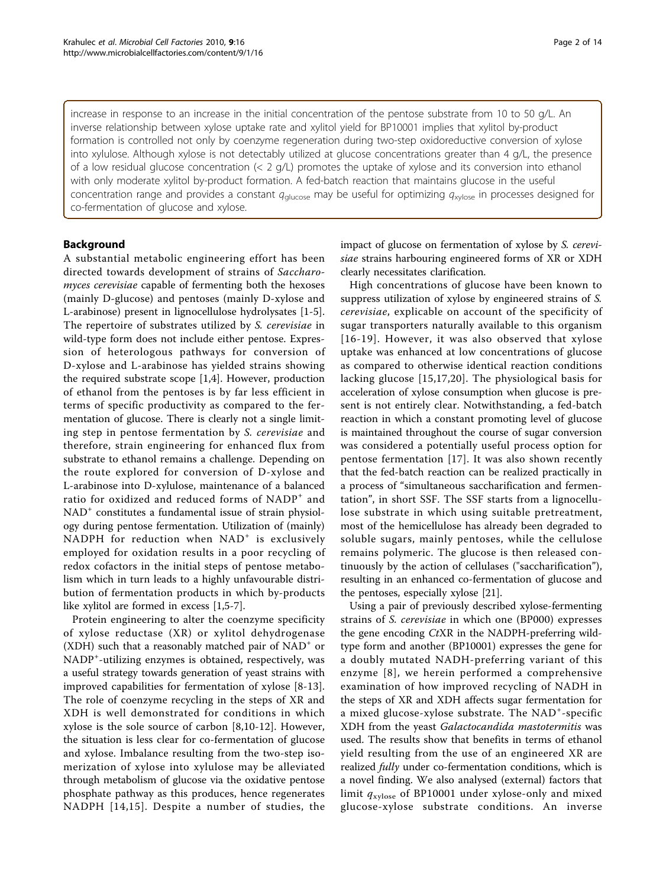increase in response to an increase in the initial concentration of the pentose substrate from 10 to 50 g/L. An inverse relationship between xylose uptake rate and xylitol yield for BP10001 implies that xylitol by-product formation is controlled not only by coenzyme regeneration during two-step oxidoreductive conversion of xylose into xylulose. Although xylose is not detectably utilized at glucose concentrations greater than 4 g/L, the presence of a low residual glucose concentration (< 2 g/L) promotes the uptake of xylose and its conversion into ethanol with only moderate xylitol by-product formation. A fed-batch reaction that maintains glucose in the useful concentration range and provides a constant  $q_{glucose}$  may be useful for optimizing  $q_{xylose}$  in processes designed for co-fermentation of glucose and xylose.

# Background

A substantial metabolic engineering effort has been directed towards development of strains of Saccharomyces cerevisiae capable of fermenting both the hexoses (mainly D-glucose) and pentoses (mainly D-xylose and L-arabinose) present in lignocellulose hydrolysates [[1-5](#page-12-0)]. The repertoire of substrates utilized by S. cerevisiae in wild-type form does not include either pentose. Expression of heterologous pathways for conversion of D-xylose and L-arabinose has yielded strains showing the required substrate scope [[1,4\]](#page-12-0). However, production of ethanol from the pentoses is by far less efficient in terms of specific productivity as compared to the fermentation of glucose. There is clearly not a single limiting step in pentose fermentation by S. cerevisiae and therefore, strain engineering for enhanced flux from substrate to ethanol remains a challenge. Depending on the route explored for conversion of D-xylose and L-arabinose into D-xylulose, maintenance of a balanced ratio for oxidized and reduced forms of NADP<sup>+</sup> and NAD<sup>+</sup> constitutes a fundamental issue of strain physiology during pentose fermentation. Utilization of (mainly) NADPH for reduction when  $NAD<sup>+</sup>$  is exclusively employed for oxidation results in a poor recycling of redox cofactors in the initial steps of pentose metabolism which in turn leads to a highly unfavourable distribution of fermentation products in which by-products like xylitol are formed in excess [[1,5-7](#page-12-0)].

Protein engineering to alter the coenzyme specificity of xylose reductase (XR) or xylitol dehydrogenase (XDH) such that a reasonably matched pair of  $NAD^+$  or NADP<sup>+</sup>-utilizing enzymes is obtained, respectively, was a useful strategy towards generation of yeast strains with improved capabilities for fermentation of xylose [\[8](#page-12-0)-[13](#page-12-0)]. The role of coenzyme recycling in the steps of XR and XDH is well demonstrated for conditions in which xylose is the sole source of carbon [[8,10](#page-12-0)-[12\]](#page-12-0). However, the situation is less clear for co-fermentation of glucose and xylose. Imbalance resulting from the two-step isomerization of xylose into xylulose may be alleviated through metabolism of glucose via the oxidative pentose phosphate pathway as this produces, hence regenerates NADPH [[14,15\]](#page-12-0). Despite a number of studies, the impact of glucose on fermentation of xylose by S. cerevisiae strains harbouring engineered forms of XR or XDH clearly necessitates clarification.

High concentrations of glucose have been known to suppress utilization of xylose by engineered strains of S. cerevisiae, explicable on account of the specificity of sugar transporters naturally available to this organism [[16](#page-12-0)-[19\]](#page-12-0). However, it was also observed that xylose uptake was enhanced at low concentrations of glucose as compared to otherwise identical reaction conditions lacking glucose [[15,17,20](#page-12-0)]. The physiological basis for acceleration of xylose consumption when glucose is present is not entirely clear. Notwithstanding, a fed-batch reaction in which a constant promoting level of glucose is maintained throughout the course of sugar conversion was considered a potentially useful process option for pentose fermentation [[17](#page-12-0)]. It was also shown recently that the fed-batch reaction can be realized practically in a process of "simultaneous saccharification and fermentation", in short SSF. The SSF starts from a lignocellulose substrate in which using suitable pretreatment, most of the hemicellulose has already been degraded to soluble sugars, mainly pentoses, while the cellulose remains polymeric. The glucose is then released continuously by the action of cellulases ("saccharification"), resulting in an enhanced co-fermentation of glucose and the pentoses, especially xylose [\[21](#page-12-0)].

Using a pair of previously described xylose-fermenting strains of S. cerevisiae in which one (BP000) expresses the gene encoding CtXR in the NADPH-preferring wildtype form and another (BP10001) expresses the gene for a doubly mutated NADH-preferring variant of this enzyme [[8\]](#page-12-0), we herein performed a comprehensive examination of how improved recycling of NADH in the steps of XR and XDH affects sugar fermentation for a mixed glucose-xylose substrate. The NAD<sup>+</sup>-specific XDH from the yeast Galactocandida mastotermitis was used. The results show that benefits in terms of ethanol yield resulting from the use of an engineered XR are realized fully under co-fermentation conditions, which is a novel finding. We also analysed (external) factors that limit  $q_{\text{xylose}}$  of BP10001 under xylose-only and mixed glucose-xylose substrate conditions. An inverse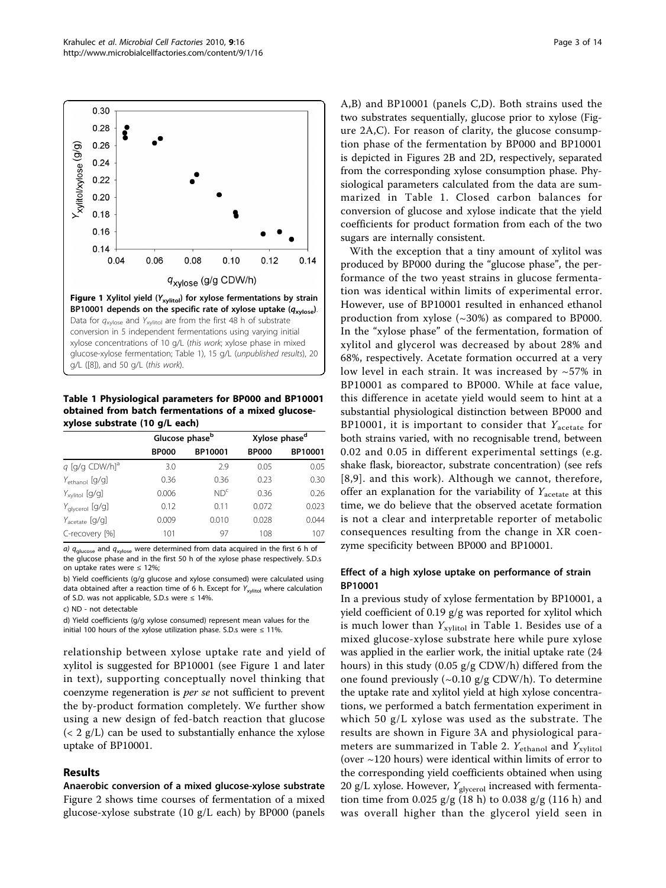<span id="page-2-0"></span>

Table 1 Physiological parameters for BP000 and BP10001 obtained from batch fermentations of a mixed glucosexylose substrate (10 g/L each)

|                              | Glucose phase <sup>b</sup> |                 | Xylose phase <sup>d</sup> |         |
|------------------------------|----------------------------|-----------------|---------------------------|---------|
|                              | <b>BP000</b>               | BP10001         | <b>BP000</b>              | BP10001 |
| $q$ [g/g CDW/h] <sup>a</sup> | 3.0                        | 2.9             | 0.05                      | 0.05    |
| $Y_{ethanol}$ [g/g]          | 0.36                       | 0.36            | 0.23                      | 0.30    |
| $Y_{xy\text{litol}}$ [g/g]   | 0.006                      | ND <sup>c</sup> | 0.36                      | 0.26    |
| $Y_{\text{alvcerol}}$ [g/g]  | 0.12                       | 0.11            | 0.072                     | 0.023   |
| $Y_{\text{acetate}}$ [g/g]   | 0.009                      | 0.010           | 0.028                     | 0.044   |
| C-recovery [%]               | 101                        | 97              | 108                       | 107     |
|                              |                            |                 |                           |         |

a)  $q_{\text{glucose}}$  and  $q_{\text{xylose}}$  were determined from data acquired in the first 6 h of the glucose phase and in the first 50 h of the xylose phase respectively. S.D.s on uptake rates were ≤ 12%;

b) Yield coefficients (g/g glucose and xylose consumed) were calculated using data obtained after a reaction time of 6 h. Except for  $Y_{xy|itol}$  where calculation of S.D. was not applicable, S.D.s were  $\leq$  14%.

c) ND - not detectable

d) Yield coefficients (g/g xylose consumed) represent mean values for the initial 100 hours of the xylose utilization phase. S.D.s were  $\leq 11\%$ .

relationship between xylose uptake rate and yield of xylitol is suggested for BP10001 (see Figure 1 and later in text), supporting conceptually novel thinking that coenzyme regeneration is per se not sufficient to prevent the by-product formation completely. We further show using a new design of fed-batch reaction that glucose  $(< 2 \text{ g/L})$  can be used to substantially enhance the xylose uptake of BP10001.

#### Results

Anaerobic conversion of a mixed glucose-xylose substrate Figure [2](#page-3-0) shows time courses of fermentation of a mixed glucose-xylose substrate (10 g/L each) by BP000 (panels A,B) and BP10001 (panels C,D). Both strains used the two substrates sequentially, glucose prior to xylose (Figure [2A,C](#page-3-0)). For reason of clarity, the glucose consumption phase of the fermentation by BP000 and BP10001 is depicted in Figures [2B](#page-3-0) and [2D](#page-3-0), respectively, separated from the corresponding xylose consumption phase. Physiological parameters calculated from the data are summarized in Table 1. Closed carbon balances for conversion of glucose and xylose indicate that the yield coefficients for product formation from each of the two sugars are internally consistent.

With the exception that a tiny amount of xylitol was produced by BP000 during the "glucose phase", the performance of the two yeast strains in glucose fermentation was identical within limits of experimental error. However, use of BP10001 resulted in enhanced ethanol production from xylose (~30%) as compared to BP000. In the "xylose phase" of the fermentation, formation of xylitol and glycerol was decreased by about 28% and 68%, respectively. Acetate formation occurred at a very low level in each strain. It was increased by  $\sim$  57% in BP10001 as compared to BP000. While at face value, this difference in acetate yield would seem to hint at a substantial physiological distinction between BP000 and BP10001, it is important to consider that  $Y_{\text{acetate}}$  for both strains varied, with no recognisable trend, between 0.02 and 0.05 in different experimental settings (e.g. shake flask, bioreactor, substrate concentration) (see refs [[8](#page-12-0),[9](#page-12-0)]. and this work). Although we cannot, therefore, offer an explanation for the variability of  $Y_{\text{acetate}}$  at this time, we do believe that the observed acetate formation is not a clear and interpretable reporter of metabolic consequences resulting from the change in XR coenzyme specificity between BP000 and BP10001.

#### Effect of a high xylose uptake on performance of strain BP10001

In a previous study of xylose fermentation by BP10001, a yield coefficient of 0.19 g/g was reported for xylitol which is much lower than  $Y_{xylitol}$  in Table 1. Besides use of a mixed glucose-xylose substrate here while pure xylose was applied in the earlier work, the initial uptake rate (24 hours) in this study (0.05 g/g CDW/h) differed from the one found previously (~0.10 g/g CDW/h). To determine the uptake rate and xylitol yield at high xylose concentrations, we performed a batch fermentation experiment in which 50 g/L xylose was used as the substrate. The results are shown in Figure [3A](#page-3-0) and physiological para-meters are summarized in Table [2](#page-4-0).  $Y_{\text{ethanol}}$  and  $Y_{\text{xylitol}}$ (over ~120 hours) were identical within limits of error to the corresponding yield coefficients obtained when using 20 g/L xylose. However,  $Y_{\text{glycerol}}$  increased with fermentation time from 0.025 g/g (18 h) to 0.038 g/g (116 h) and was overall higher than the glycerol yield seen in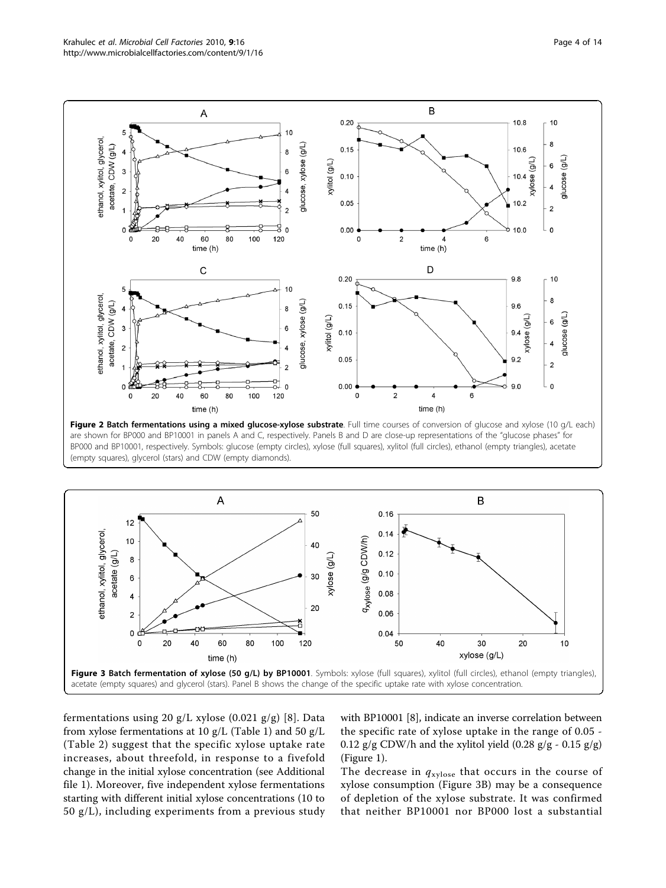

<span id="page-3-0"></span>

(empty squares), glycerol (stars) and CDW (empty diamonds).



fermentations using 20 g/L xylose (0.021 g/g) [[8](#page-12-0)]. Data from xylose fermentations at 10 g/L (Table [1](#page-2-0)) and 50 g/L (Table [2\)](#page-4-0) suggest that the specific xylose uptake rate increases, about threefold, in response to a fivefold change in the initial xylose concentration (see Additional file [1](#page-11-0)). Moreover, five independent xylose fermentations starting with different initial xylose concentrations (10 to 50 g/L), including experiments from a previous study with BP10001 [[8\]](#page-12-0), indicate an inverse correlation between the specific rate of xylose uptake in the range of 0.05 - 0.12  $g/g$  CDW/h and the xylitol yield (0.28  $g/g$  - 0.15  $g/g$ ) (Figure [1](#page-2-0)).

The decrease in  $q_{\text{xylose}}$  that occurs in the course of xylose consumption (Figure 3B) may be a consequence of depletion of the xylose substrate. It was confirmed that neither BP10001 nor BP000 lost a substantial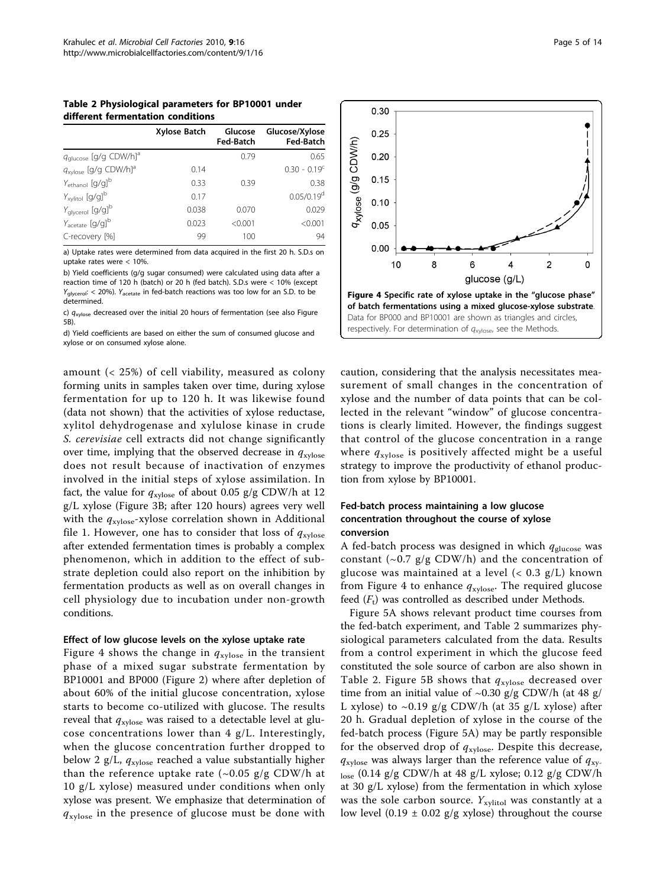<span id="page-4-0"></span>Table 2 Physiological parameters for BP10001 under different fermentation conditions

|                                                      | Xylose Batch | Glucose<br>Fed-Batch | Glucose/Xylose<br><b>Fed-Batch</b> |
|------------------------------------------------------|--------------|----------------------|------------------------------------|
| <i>q</i> <sub>glucose</sub> [g/g CDW/h] <sup>a</sup> |              | 0.79                 | 0.65                               |
| $q_{\mathrm{xylose}}$ [g/g CDW/h] <sup>a</sup>       | 0.14         |                      | $0.30 - 0.19$ <sup>c</sup>         |
| $Y_{ethanol}$ [g/g] <sup>b</sup>                     | 0.33         | 0.39                 | 0.38                               |
| $Y_{xy$ litol [g/g] <sup>b</sup>                     | 0.17         |                      | $0.05/0.19^{d}$                    |
| $Y_{\text{glyceroI}}$ [g/g] <sup>b</sup>             | 0.038        | 0.070                | 0.029                              |
| $Y_{\text{acetate}}$ [g/g] <sup>b</sup>              | 0.023        | < 0.001              | < 0.001                            |
| C-recovery [%]                                       | 99           | 100                  | 94                                 |

a) Uptake rates were determined from data acquired in the first 20 h. S.D.s on uptake rates were < 10%.

b) Yield coefficients (g/g sugar consumed) were calculated using data after a reaction time of 120 h (batch) or 20 h (fed batch). S.D.s were < 10% (except  $Y_{\text{alvcerol}}$ : < 20%).  $Y_{\text{acetate}}$  in fed-batch reactions was too low for an S.D. to be determined.

c)  $q_{xylose}$  decreased over the initial 20 hours of fermentation (see also Figure 5B).

d) Yield coefficients are based on either the sum of consumed glucose and xylose or on consumed xylose alone.

amount (< 25%) of cell viability, measured as colony forming units in samples taken over time, during xylose fermentation for up to 120 h. It was likewise found (data not shown) that the activities of xylose reductase, xylitol dehydrogenase and xylulose kinase in crude S. cerevisiae cell extracts did not change significantly over time, implying that the observed decrease in  $q_{\text{xylose}}$ does not result because of inactivation of enzymes involved in the initial steps of xylose assimilation. In fact, the value for  $q_{\text{xvlose}}$  of about 0.05 g/g CDW/h at 12 g/L xylose (Figure [3B](#page-3-0); after 120 hours) agrees very well with the  $q_{\text{xylose}}$ -xylose correlation shown in Additional file [1](#page-11-0). However, one has to consider that loss of  $q_{\text{xvlose}}$ after extended fermentation times is probably a complex phenomenon, which in addition to the effect of substrate depletion could also report on the inhibition by fermentation products as well as on overall changes in cell physiology due to incubation under non-growth conditions.

#### Effect of low glucose levels on the xylose uptake rate

Figure 4 shows the change in  $q_{\text{xylose}}$  in the transient phase of a mixed sugar substrate fermentation by BP10001 and BP000 (Figure [2\)](#page-3-0) where after depletion of about 60% of the initial glucose concentration, xylose starts to become co-utilized with glucose. The results reveal that  $q_{\text{xylose}}$  was raised to a detectable level at glucose concentrations lower than 4 g/L. Interestingly, when the glucose concentration further dropped to below 2 g/L,  $q_{xylose}$  reached a value substantially higher than the reference uptake rate  $({\sim}0.05 \text{ g/g CDW/h at}$ 10 g/L xylose) measured under conditions when only xylose was present. We emphasize that determination of  $q_{\text{xylose}}$  in the presence of glucose must be done with



caution, considering that the analysis necessitates measurement of small changes in the concentration of xylose and the number of data points that can be collected in the relevant "window" of glucose concentrations is clearly limited. However, the findings suggest that control of the glucose concentration in a range where  $q_{\text{xylose}}$  is positively affected might be a useful strategy to improve the productivity of ethanol production from xylose by BP10001.

# Fed-batch process maintaining a low glucose concentration throughout the course of xylose conversion

A fed-batch process was designed in which  $q_{\text{glucose}}$  was constant  $({\sim}0.7 \text{ g/g CDW/h})$  and the concentration of glucose was maintained at a level  $(< 0.3$  g/L) known from Figure 4 to enhance  $q_{\text{xylose}}$ . The required glucose feed  $(F_t)$  was controlled as described under Methods.

Figure [5A](#page-5-0) shows relevant product time courses from the fed-batch experiment, and Table 2 summarizes physiological parameters calculated from the data. Results from a control experiment in which the glucose feed constituted the sole source of carbon are also shown in Table 2. Figure [5B](#page-5-0) shows that  $q_{xylose}$  decreased over time from an initial value of  $\sim$ 0.30 g/g CDW/h (at 48 g/ L xylose) to  $\sim 0.19$  g/g CDW/h (at 35 g/L xylose) after 20 h. Gradual depletion of xylose in the course of the fed-batch process (Figure [5A](#page-5-0)) may be partly responsible for the observed drop of  $q_{xylose}$ . Despite this decrease,  $q_{\text{xylose}}$  was always larger than the reference value of  $q_{\text{xy}}$ . lose (0.14 g/g CDW/h at 48 g/L xylose; 0.12 g/g CDW/h at 30 g/L xylose) from the fermentation in which xylose was the sole carbon source.  $Y_{\text{xvlitol}}$  was constantly at a low level (0.19  $\pm$  0.02 g/g xylose) throughout the course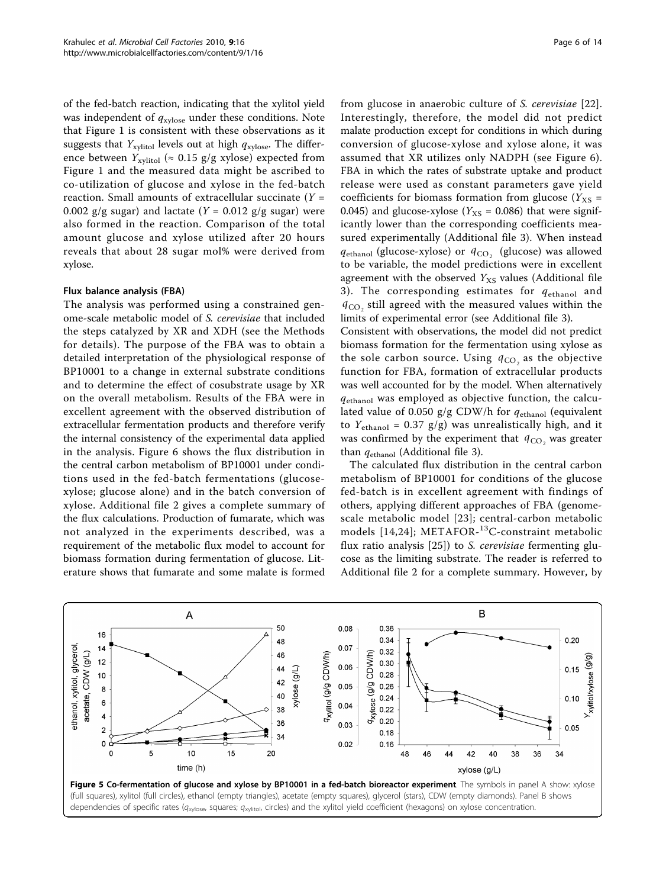<span id="page-5-0"></span>of the fed-batch reaction, indicating that the xylitol yield was independent of  $q_{\text{xvlose}}$  under these conditions. Note that Figure [1](#page-2-0) is consistent with these observations as it suggests that  $Y_{\text{xvlitol}}$  levels out at high  $q_{\text{xvlose}}$ . The difference between  $Y_{\text{xvlitol}} \approx 0.15 \text{ g/g} \text{ xylose}$ ) expected from Figure [1](#page-2-0) and the measured data might be ascribed to co-utilization of glucose and xylose in the fed-batch reaction. Small amounts of extracellular succinate  $(Y =$ 0.002 g/g sugar) and lactate ( $Y = 0.012$  g/g sugar) were also formed in the reaction. Comparison of the total amount glucose and xylose utilized after 20 hours reveals that about 28 sugar mol% were derived from xylose.

#### Flux balance analysis (FBA)

The analysis was performed using a constrained genome-scale metabolic model of S. cerevisiae that included the steps catalyzed by XR and XDH (see the Methods for details). The purpose of the FBA was to obtain a detailed interpretation of the physiological response of BP10001 to a change in external substrate conditions and to determine the effect of cosubstrate usage by XR on the overall metabolism. Results of the FBA were in excellent agreement with the observed distribution of extracellular fermentation products and therefore verify the internal consistency of the experimental data applied in the analysis. Figure [6](#page-6-0) shows the flux distribution in the central carbon metabolism of BP10001 under conditions used in the fed-batch fermentations (glucosexylose; glucose alone) and in the batch conversion of xylose. Additional file [2](#page-11-0) gives a complete summary of the flux calculations. Production of fumarate, which was not analyzed in the experiments described, was a requirement of the metabolic flux model to account for biomass formation during fermentation of glucose. Literature shows that fumarate and some malate is formed from glucose in anaerobic culture of S. cerevisiae [[22](#page-12-0)]. Interestingly, therefore, the model did not predict malate production except for conditions in which during conversion of glucose-xylose and xylose alone, it was assumed that XR utilizes only NADPH (see Figure [6](#page-6-0)). FBA in which the rates of substrate uptake and product release were used as constant parameters gave yield coefficients for biomass formation from glucose ( $Y_{XS}$  = 0.045) and glucose-xylose ( $Y_{\text{XS}} = 0.086$ ) that were significantly lower than the corresponding coefficients measured experimentally (Additional file [3](#page-11-0)). When instead  $q_{ethanol}$  (glucose-xylose) or  $q_{CO}$ , (glucose) was allowed to be variable, the model predictions were in excellent agreement with the observed  $Y_{\text{XS}}$  values (Additional file [3](#page-11-0)). The corresponding estimates for  $q_{ethanol}$  and  $q_{CO}$ , still agreed with the measured values within the limits of experimental error (see Additional file [3](#page-11-0)).

Consistent with observations, the model did not predict biomass formation for the fermentation using xylose as the sole carbon source. Using  $q_{CO}$  as the objective function for FBA, formation of extracellular products was well accounted for by the model. When alternatively  $q_{ethanol}$  was employed as objective function, the calculated value of 0.050 g/g CDW/h for  $q_{\text{ethanol}}$  (equivalent to  $Y_{\text{ethanol}} = 0.37$  g/g) was unrealistically high, and it was confirmed by the experiment that  $q_{CO}$ , was greater than  $q_{ethanol}$  (Additional file [3\)](#page-11-0).

The calculated flux distribution in the central carbon metabolism of BP10001 for conditions of the glucose fed-batch is in excellent agreement with findings of others, applying different approaches of FBA (genomescale metabolic model [\[23\]](#page-12-0); central-carbon metabolic models [[14,24](#page-12-0)]; METAFOR-<sup>13</sup>C-constraint metabolic flux ratio analysis [\[25](#page-12-0)]) to S. cerevisiae fermenting glucose as the limiting substrate. The reader is referred to Additional file [2](#page-11-0) for a complete summary. However, by



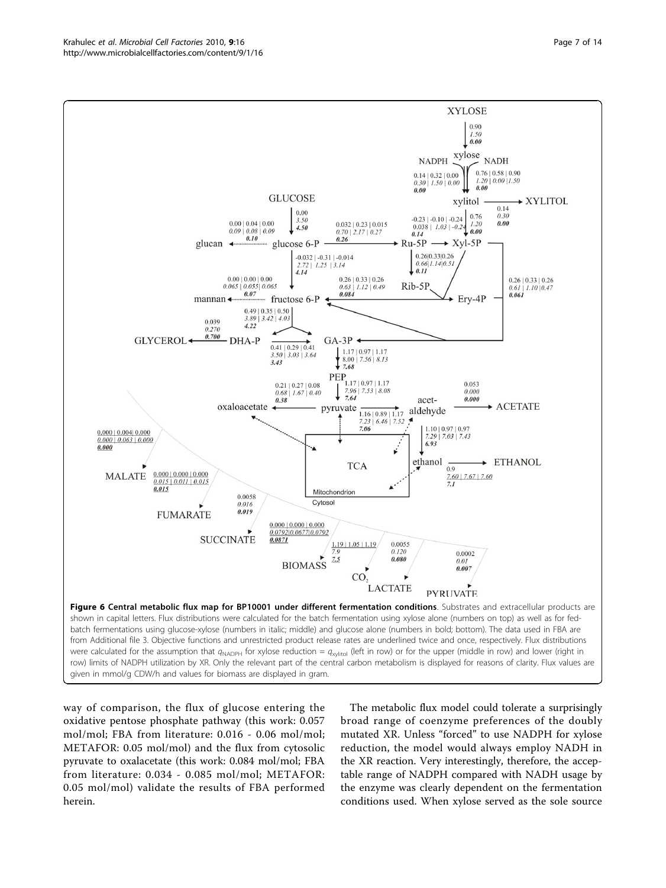<span id="page-6-0"></span>

way of comparison, the flux of glucose entering the oxidative pentose phosphate pathway (this work: 0.057 mol/mol; FBA from literature: 0.016 - 0.06 mol/mol; METAFOR: 0.05 mol/mol) and the flux from cytosolic pyruvate to oxalacetate (this work: 0.084 mol/mol; FBA from literature: 0.034 - 0.085 mol/mol; METAFOR: 0.05 mol/mol) validate the results of FBA performed herein.

The metabolic flux model could tolerate a surprisingly broad range of coenzyme preferences of the doubly mutated XR. Unless "forced" to use NADPH for xylose reduction, the model would always employ NADH in the XR reaction. Very interestingly, therefore, the acceptable range of NADPH compared with NADH usage by the enzyme was clearly dependent on the fermentation conditions used. When xylose served as the sole source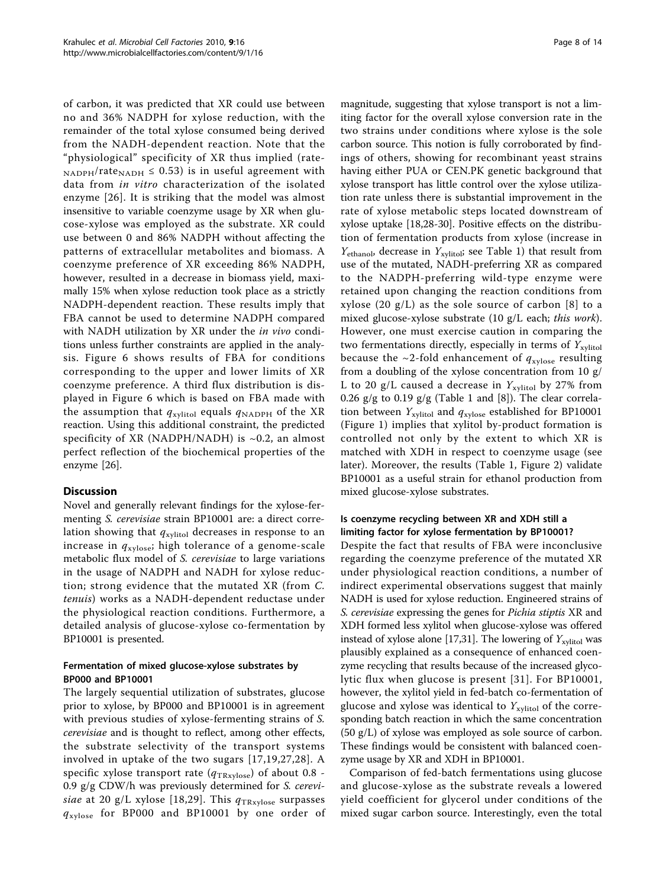of carbon, it was predicted that XR could use between no and 36% NADPH for xylose reduction, with the remainder of the total xylose consumed being derived from the NADH-dependent reaction. Note that the "physiological" specificity of XR thus implied (rate- $N_{\rm ADPH}/\text{rate}_{\rm NADH} \leq 0.53$ ) is in useful agreement with data from in vitro characterization of the isolated enzyme [\[26\]](#page-12-0). It is striking that the model was almost insensitive to variable coenzyme usage by XR when glucose-xylose was employed as the substrate. XR could use between 0 and 86% NADPH without affecting the patterns of extracellular metabolites and biomass. A coenzyme preference of XR exceeding 86% NADPH, however, resulted in a decrease in biomass yield, maximally 15% when xylose reduction took place as a strictly NADPH-dependent reaction. These results imply that FBA cannot be used to determine NADPH compared with NADH utilization by XR under the *in vivo* conditions unless further constraints are applied in the analysis. Figure [6](#page-6-0) shows results of FBA for conditions corresponding to the upper and lower limits of XR coenzyme preference. A third flux distribution is displayed in Figure [6](#page-6-0) which is based on FBA made with the assumption that  $q_{xylitol}$  equals  $q_{NADPH}$  of the XR reaction. Using this additional constraint, the predicted specificity of XR (NADPH/NADH) is  $~0.2$ , an almost perfect reflection of the biochemical properties of the enzyme [\[26\]](#page-12-0).

# **Discussion**

Novel and generally relevant findings for the xylose-fermenting S. cerevisiae strain BP10001 are: a direct correlation showing that  $q_{xy\text{litol}}$  decreases in response to an increase in  $q_{xylose}$ ; high tolerance of a genome-scale metabolic flux model of S. cerevisiae to large variations in the usage of NADPH and NADH for xylose reduction; strong evidence that the mutated XR (from C. tenuis) works as a NADH-dependent reductase under the physiological reaction conditions. Furthermore, a detailed analysis of glucose-xylose co-fermentation by BP10001 is presented.

# Fermentation of mixed glucose-xylose substrates by BP000 and BP10001

The largely sequential utilization of substrates, glucose prior to xylose, by BP000 and BP10001 is in agreement with previous studies of xylose-fermenting strains of S. cerevisiae and is thought to reflect, among other effects, the substrate selectivity of the transport systems involved in uptake of the two sugars [[17,19](#page-12-0),[27](#page-12-0),[28](#page-12-0)]. A specific xylose transport rate ( $q_{\text{TRxylose}}$ ) of about 0.8 -0.9 g/g CDW/h was previously determined for S. cerevi-siae at 20 g/L xylose [[18](#page-12-0),[29](#page-12-0)]. This  $q_{\text{TRxylose}}$  surpasses  $q_{\text{xylose}}$  for BP000 and BP10001 by one order of

magnitude, suggesting that xylose transport is not a limiting factor for the overall xylose conversion rate in the two strains under conditions where xylose is the sole carbon source. This notion is fully corroborated by findings of others, showing for recombinant yeast strains having either PUA or CEN.PK genetic background that xylose transport has little control over the xylose utilization rate unless there is substantial improvement in the rate of xylose metabolic steps located downstream of xylose uptake [[18](#page-12-0),[28](#page-12-0)-[30\]](#page-12-0). Positive effects on the distribution of fermentation products from xylose (increase in  $Y_{\text{ethanol}}$ , decrease in  $Y_{\text{xylitol}}$ ; see Table [1](#page-2-0)) that result from use of the mutated, NADH-preferring XR as compared to the NADPH-preferring wild-type enzyme were retained upon changing the reaction conditions from xylose  $(20 \text{ g/L})$  as the sole source of carbon [[8](#page-12-0)] to a mixed glucose-xylose substrate (10 g/L each; this work). However, one must exercise caution in comparing the two fermentations directly, especially in terms of  $Y_{\text{xvlitol}}$ because the  $\sim$ 2-fold enhancement of  $q_{\text{xylose}}$  resulting from a doubling of the xylose concentration from 10 g/ L to 20 g/L caused a decrease in  $Y_{\text{xvlitol}}$  by 27% from 0.26 g/g to 0.19 g/g (Table [1](#page-2-0) and [\[8\]](#page-12-0)). The clear correlation between  $Y_{\text{xylitol}}$  and  $q_{\text{xylose}}$  established for BP10001 (Figure [1\)](#page-2-0) implies that xylitol by-product formation is controlled not only by the extent to which XR is matched with XDH in respect to coenzyme usage (see later). Moreover, the results (Table [1](#page-2-0), Figure [2](#page-3-0)) validate BP10001 as a useful strain for ethanol production from mixed glucose-xylose substrates.

# Is coenzyme recycling between XR and XDH still a limiting factor for xylose fermentation by BP10001?

Despite the fact that results of FBA were inconclusive regarding the coenzyme preference of the mutated XR under physiological reaction conditions, a number of indirect experimental observations suggest that mainly NADH is used for xylose reduction. Engineered strains of S. cerevisiae expressing the genes for Pichia stiptis XR and XDH formed less xylitol when glucose-xylose was offered instead of xylose alone [\[17,31](#page-12-0)]. The lowering of  $Y_{\text{xylitol}}$  was plausibly explained as a consequence of enhanced coenzyme recycling that results because of the increased glycolytic flux when glucose is present [[31](#page-12-0)]. For BP10001, however, the xylitol yield in fed-batch co-fermentation of glucose and xylose was identical to  $Y_{\text{xvlitol}}$  of the corresponding batch reaction in which the same concentration (50 g/L) of xylose was employed as sole source of carbon. These findings would be consistent with balanced coenzyme usage by XR and XDH in BP10001.

Comparison of fed-batch fermentations using glucose and glucose-xylose as the substrate reveals a lowered yield coefficient for glycerol under conditions of the mixed sugar carbon source. Interestingly, even the total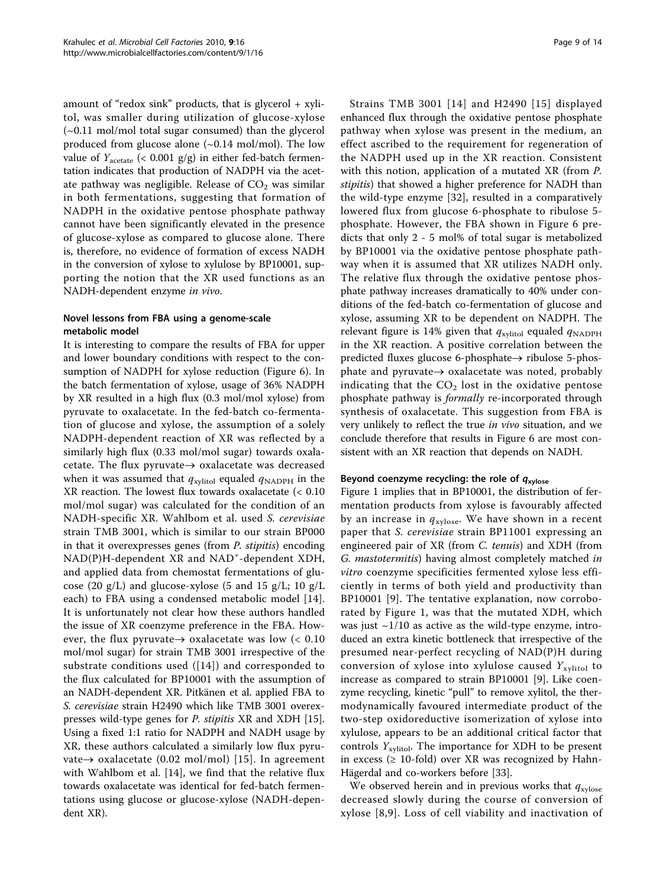amount of "redox sink" products, that is glycerol + xylitol, was smaller during utilization of glucose-xylose (~0.11 mol/mol total sugar consumed) than the glycerol produced from glucose alone  $(\sim 0.14 \text{ mol/mol})$ . The low value of  $Y_{\text{acetate}}$  (< 0.001 g/g) in either fed-batch fermentation indicates that production of NADPH via the acetate pathway was negligible. Release of  $CO<sub>2</sub>$  was similar in both fermentations, suggesting that formation of NADPH in the oxidative pentose phosphate pathway cannot have been significantly elevated in the presence of glucose-xylose as compared to glucose alone. There is, therefore, no evidence of formation of excess NADH in the conversion of xylose to xylulose by BP10001, supporting the notion that the XR used functions as an NADH-dependent enzyme in vivo.

# Novel lessons from FBA using a genome-scale metabolic model

It is interesting to compare the results of FBA for upper and lower boundary conditions with respect to the consumption of NADPH for xylose reduction (Figure [6](#page-6-0)). In the batch fermentation of xylose, usage of 36% NADPH by XR resulted in a high flux (0.3 mol/mol xylose) from pyruvate to oxalacetate. In the fed-batch co-fermentation of glucose and xylose, the assumption of a solely NADPH-dependent reaction of XR was reflected by a similarly high flux (0.33 mol/mol sugar) towards oxalacetate. The flux pyruvate $\rightarrow$  oxalacetate was decreased when it was assumed that  $q_{xy\text{it}}$  equaled  $q_{\text{NADPH}}$  in the XR reaction. The lowest flux towards oxalacetate (< 0.10 mol/mol sugar) was calculated for the condition of an NADH-specific XR. Wahlbom et al. used S. cerevisiae strain TMB 3001, which is similar to our strain BP000 in that it overexpresses genes (from P. stipitis) encoding NAD(P)H-dependent XR and NAD<sup>+</sup>-dependent XDH, and applied data from chemostat fermentations of glucose (20 g/L) and glucose-xylose (5 and 15 g/L; 10 g/L each) to FBA using a condensed metabolic model [[14](#page-12-0)]. It is unfortunately not clear how these authors handled the issue of XR coenzyme preference in the FBA. However, the flux pyruvate $\rightarrow$  oxalacetate was low (< 0.10 mol/mol sugar) for strain TMB 3001 irrespective of the substrate conditions used ([[14](#page-12-0)]) and corresponded to the flux calculated for BP10001 with the assumption of an NADH-dependent XR. Pitkänen et al. applied FBA to S. cerevisiae strain H2490 which like TMB 3001 overexpresses wild-type genes for P. stipitis XR and XDH [\[15](#page-12-0)]. Using a fixed 1:1 ratio for NADPH and NADH usage by XR, these authors calculated a similarly low flux pyruvate $\rightarrow$  oxalacetate (0.02 mol/mol) [[15](#page-12-0)]. In agreement with Wahlbom et al. [\[14](#page-12-0)], we find that the relative flux towards oxalacetate was identical for fed-batch fermentations using glucose or glucose-xylose (NADH-dependent XR).

Strains TMB 3001 [\[14](#page-12-0)] and H2490 [[15\]](#page-12-0) displayed enhanced flux through the oxidative pentose phosphate pathway when xylose was present in the medium, an effect ascribed to the requirement for regeneration of the NADPH used up in the XR reaction. Consistent with this notion, application of a mutated XR (from P. stipitis) that showed a higher preference for NADH than the wild-type enzyme [\[32](#page-12-0)], resulted in a comparatively lowered flux from glucose 6-phosphate to ribulose 5 phosphate. However, the FBA shown in Figure [6](#page-6-0) predicts that only 2 - 5 mol% of total sugar is metabolized by BP10001 via the oxidative pentose phosphate pathway when it is assumed that XR utilizes NADH only. The relative flux through the oxidative pentose phosphate pathway increases dramatically to 40% under conditions of the fed-batch co-fermentation of glucose and xylose, assuming XR to be dependent on NADPH. The relevant figure is 14% given that  $q_{\text{xylitol}}$  equaled  $q_{\text{NADPH}}$ in the XR reaction. A positive correlation between the predicted fluxes glucose 6-phosphate $\rightarrow$  ribulose 5-phosphate and pyruvate $\rightarrow$  oxalacetate was noted, probably indicating that the  $CO<sub>2</sub>$  lost in the oxidative pentose phosphate pathway is formally re-incorporated through synthesis of oxalacetate. This suggestion from FBA is very unlikely to reflect the true in vivo situation, and we conclude therefore that results in Figure [6](#page-6-0) are most consistent with an XR reaction that depends on NADH.

# Beyond coenzyme recycling: the role of  $q_{xylose}$

Figure [1](#page-2-0) implies that in BP10001, the distribution of fermentation products from xylose is favourably affected by an increase in  $q_{\text{xylose}}$ . We have shown in a recent paper that S. cerevisiae strain BP11001 expressing an engineered pair of XR (from C. tenuis) and XDH (from G. mastotermitis) having almost completely matched in vitro coenzyme specificities fermented xylose less efficiently in terms of both yield and productivity than BP10001 [[9](#page-12-0)]. The tentative explanation, now corroborated by Figure [1,](#page-2-0) was that the mutated XDH, which was just  $\sim$ 1/10 as active as the wild-type enzyme, introduced an extra kinetic bottleneck that irrespective of the presumed near-perfect recycling of NAD(P)H during conversion of xylose into xylulose caused  $Y_{\text{xylitol}}$  to increase as compared to strain BP10001 [\[9](#page-12-0)]. Like coenzyme recycling, kinetic "pull" to remove xylitol, the thermodynamically favoured intermediate product of the two-step oxidoreductive isomerization of xylose into xylulose, appears to be an additional critical factor that controls  $Y_{\text{xylitol}}$ . The importance for XDH to be present in excess ( $\geq 10$ -fold) over XR was recognized by Hahn-Hägerdal and co-workers before [\[33\]](#page-12-0).

We observed herein and in previous works that  $q_{\text{xylose}}$ decreased slowly during the course of conversion of xylose [[8](#page-12-0),[9](#page-12-0)]. Loss of cell viability and inactivation of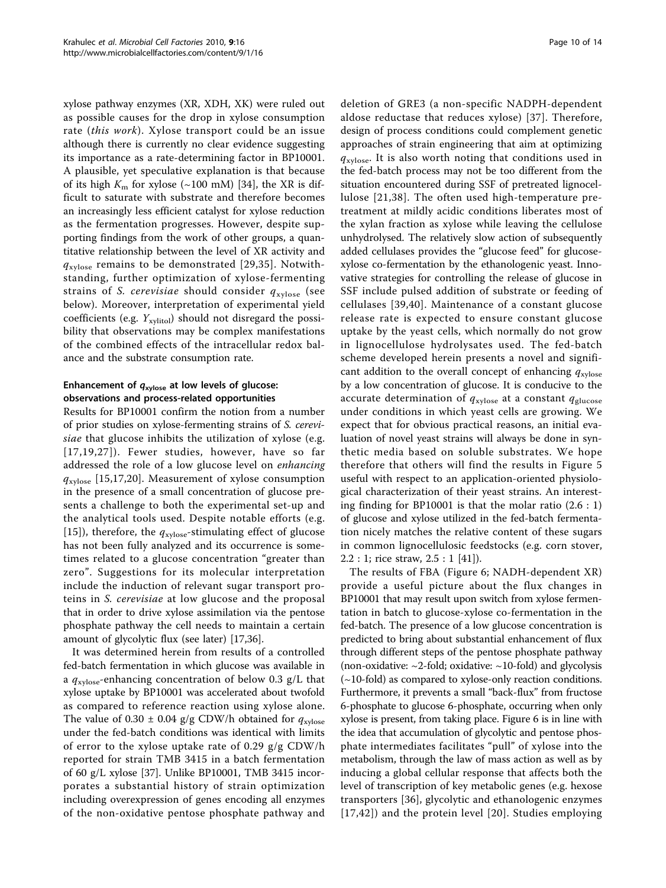xylose pathway enzymes (XR, XDH, XK) were ruled out as possible causes for the drop in xylose consumption rate (this work). Xylose transport could be an issue although there is currently no clear evidence suggesting its importance as a rate-determining factor in BP10001. A plausible, yet speculative explanation is that because of its high  $K<sub>m</sub>$  for xylose (~100 mM) [[34\]](#page-12-0), the XR is difficult to saturate with substrate and therefore becomes an increasingly less efficient catalyst for xylose reduction as the fermentation progresses. However, despite supporting findings from the work of other groups, a quantitative relationship between the level of XR activity and  $q_{\text{xvlose}}$  remains to be demonstrated [[29,35\]](#page-12-0). Notwithstanding, further optimization of xylose-fermenting strains of S. cerevisiae should consider  $q_{\text{xvlose}}$  (see below). Moreover, interpretation of experimental yield coefficients (e.g.  $Y_{\text{xvlitol}}$ ) should not disregard the possibility that observations may be complex manifestations of the combined effects of the intracellular redox balance and the substrate consumption rate.

# Enhancement of  $q_{xylose}$  at low levels of glucose: observations and process-related opportunities

Results for BP10001 confirm the notion from a number of prior studies on xylose-fermenting strains of S. cerevisiae that glucose inhibits the utilization of xylose (e.g. [[17](#page-12-0),[19](#page-12-0),[27\]](#page-12-0)). Fewer studies, however, have so far addressed the role of a low glucose level on enhancing  $q_{\text{xylose}}$  [\[15,17,20](#page-12-0)]. Measurement of xylose consumption in the presence of a small concentration of glucose presents a challenge to both the experimental set-up and the analytical tools used. Despite notable efforts (e.g. [[15](#page-12-0)]), therefore, the  $q_{\text{xylose}}$ -stimulating effect of glucose has not been fully analyzed and its occurrence is sometimes related to a glucose concentration "greater than zero". Suggestions for its molecular interpretation include the induction of relevant sugar transport proteins in S. cerevisiae at low glucose and the proposal that in order to drive xylose assimilation via the pentose phosphate pathway the cell needs to maintain a certain amount of glycolytic flux (see later) [\[17,36\]](#page-12-0).

It was determined herein from results of a controlled fed-batch fermentation in which glucose was available in a  $q_{\text{xvlose}}$ -enhancing concentration of below 0.3 g/L that xylose uptake by BP10001 was accelerated about twofold as compared to reference reaction using xylose alone. The value of 0.30  $\pm$  0.04 g/g CDW/h obtained for  $q_{\text{xvlose}}$ under the fed-batch conditions was identical with limits of error to the xylose uptake rate of 0.29 g/g CDW/h reported for strain TMB 3415 in a batch fermentation of 60 g/L xylose [\[37\]](#page-12-0). Unlike BP10001, TMB 3415 incorporates a substantial history of strain optimization including overexpression of genes encoding all enzymes of the non-oxidative pentose phosphate pathway and deletion of GRE3 (a non-specific NADPH-dependent aldose reductase that reduces xylose) [[37](#page-12-0)]. Therefore, design of process conditions could complement genetic approaches of strain engineering that aim at optimizing  $q_{\text{xylose}}$ . It is also worth noting that conditions used in the fed-batch process may not be too different from the situation encountered during SSF of pretreated lignocellulose [\[21,](#page-12-0)[38\]](#page-13-0). The often used high-temperature pretreatment at mildly acidic conditions liberates most of the xylan fraction as xylose while leaving the cellulose unhydrolysed. The relatively slow action of subsequently added cellulases provides the "glucose feed" for glucosexylose co-fermentation by the ethanologenic yeast. Innovative strategies for controlling the release of glucose in SSF include pulsed addition of substrate or feeding of cellulases [[39](#page-13-0),[40](#page-13-0)]. Maintenance of a constant glucose release rate is expected to ensure constant glucose uptake by the yeast cells, which normally do not grow in lignocellulose hydrolysates used. The fed-batch scheme developed herein presents a novel and significant addition to the overall concept of enhancing  $q_{\text{xylose}}$ by a low concentration of glucose. It is conducive to the accurate determination of  $q_{\text{xylose}}$  at a constant  $q_{\text{glucose}}$ under conditions in which yeast cells are growing. We expect that for obvious practical reasons, an initial evaluation of novel yeast strains will always be done in synthetic media based on soluble substrates. We hope therefore that others will find the results in Figure [5](#page-5-0) useful with respect to an application-oriented physiological characterization of their yeast strains. An interesting finding for BP10001 is that the molar ratio (2.6 : 1) of glucose and xylose utilized in the fed-batch fermentation nicely matches the relative content of these sugars in common lignocellulosic feedstocks (e.g. corn stover, 2.2 : 1; rice straw, 2.5 : 1 [[41](#page-13-0)]).

The results of FBA (Figure [6](#page-6-0); NADH-dependent XR) provide a useful picture about the flux changes in BP10001 that may result upon switch from xylose fermentation in batch to glucose-xylose co-fermentation in the fed-batch. The presence of a low glucose concentration is predicted to bring about substantial enhancement of flux through different steps of the pentose phosphate pathway (non-oxidative:  $\sim$  2-fold; oxidative:  $\sim$  10-fold) and glycolysis (~10-fold) as compared to xylose-only reaction conditions. Furthermore, it prevents a small "back-flux" from fructose 6-phosphate to glucose 6-phosphate, occurring when only xylose is present, from taking place. Figure [6](#page-6-0) is in line with the idea that accumulation of glycolytic and pentose phosphate intermediates facilitates "pull" of xylose into the metabolism, through the law of mass action as well as by inducing a global cellular response that affects both the level of transcription of key metabolic genes (e.g. hexose transporters [[36](#page-12-0)], glycolytic and ethanologenic enzymes [[17,](#page-12-0)[42\]](#page-13-0)) and the protein level [[20\]](#page-12-0). Studies employing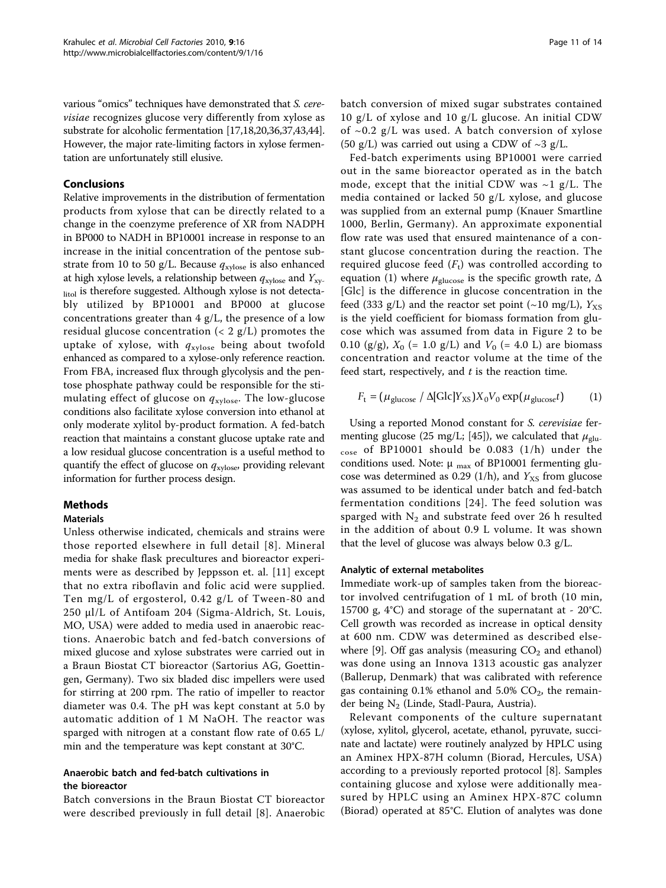various "omics" techniques have demonstrated that S. cerevisiae recognizes glucose very differently from xylose as substrate for alcoholic fermentation [[17,18,20,36,37](#page-12-0)[,43,44](#page-13-0)]. However, the major rate-limiting factors in xylose fermentation are unfortunately still elusive.

# Conclusions

Relative improvements in the distribution of fermentation products from xylose that can be directly related to a change in the coenzyme preference of XR from NADPH in BP000 to NADH in BP10001 increase in response to an increase in the initial concentration of the pentose substrate from 10 to 50 g/L. Because  $q_{\text{xvlose}}$  is also enhanced at high xylose levels, a relationship between  $q_{\text{xylose}}$  and  $Y_{\text{xy}}$ litol is therefore suggested. Although xylose is not detectably utilized by BP10001 and BP000 at glucose concentrations greater than 4 g/L, the presence of a low residual glucose concentration  $(< 2 g/L)$  promotes the uptake of xylose, with  $q_{\text{xylose}}$  being about twofold enhanced as compared to a xylose-only reference reaction. From FBA, increased flux through glycolysis and the pentose phosphate pathway could be responsible for the stimulating effect of glucose on  $q_{\text{xylose}}$ . The low-glucose conditions also facilitate xylose conversion into ethanol at only moderate xylitol by-product formation. A fed-batch reaction that maintains a constant glucose uptake rate and a low residual glucose concentration is a useful method to quantify the effect of glucose on  $q_{xylose}$ , providing relevant information for further process design.

# Methods

# **Materials**

Unless otherwise indicated, chemicals and strains were those reported elsewhere in full detail [[8](#page-12-0)]. Mineral media for shake flask precultures and bioreactor experiments were as described by Jeppsson et. al. [[11\]](#page-12-0) except that no extra riboflavin and folic acid were supplied. Ten mg/L of ergosterol, 0.42 g/L of Tween-80 and 250 μl/L of Antifoam 204 (Sigma-Aldrich, St. Louis, MO, USA) were added to media used in anaerobic reactions. Anaerobic batch and fed-batch conversions of mixed glucose and xylose substrates were carried out in a Braun Biostat CT bioreactor (Sartorius AG, Goettingen, Germany). Two six bladed disc impellers were used for stirring at 200 rpm. The ratio of impeller to reactor diameter was 0.4. The pH was kept constant at 5.0 by automatic addition of 1 M NaOH. The reactor was sparged with nitrogen at a constant flow rate of 0.65 L/ min and the temperature was kept constant at 30°C.

# Anaerobic batch and fed-batch cultivations in the bioreactor

Batch conversions in the Braun Biostat CT bioreactor were described previously in full detail [\[8](#page-12-0)]. Anaerobic batch conversion of mixed sugar substrates contained 10 g/L of xylose and 10 g/L glucose. An initial CDW of  $\sim$ 0.2 g/L was used. A batch conversion of xylose (50 g/L) was carried out using a CDW of  $\sim$ 3 g/L.

Fed-batch experiments using BP10001 were carried out in the same bioreactor operated as in the batch mode, except that the initial CDW was  $\sim$ 1 g/L. The media contained or lacked 50 g/L xylose, and glucose was supplied from an external pump (Knauer Smartline 1000, Berlin, Germany). An approximate exponential flow rate was used that ensured maintenance of a constant glucose concentration during the reaction. The required glucose feed  $(F_t)$  was controlled according to equation (1) where  $\mu_{\text{glucose}}$  is the specific growth rate,  $\Delta$ [Glc] is the difference in glucose concentration in the feed (333 g/L) and the reactor set point (~10 mg/L),  $Y_{\text{XS}}$ is the yield coefficient for biomass formation from glucose which was assumed from data in Figure [2](#page-3-0) to be 0.10 (g/g),  $X_0$  (= 1.0 g/L) and  $V_0$  (= 4.0 L) are biomass concentration and reactor volume at the time of the feed start, respectively, and  $t$  is the reaction time.

$$
F_{\rm t} = (\mu_{\rm glucose} / \Delta[\text{Glc}]\text{Y}_{\rm KS})X_0V_0 \exp(\mu_{\rm glucose}t) \tag{1}
$$

Using a reported Monod constant for S. cerevisiae fer-menting glucose (25 mg/L; [[45\]](#page-13-0)), we calculated that  $\mu_{\text{glu-}}$ cose of BP10001 should be 0.083 (1/h) under the conditions used. Note:  $\mu_{\text{max}}$  of BP10001 fermenting glucose was determined as 0.29 (1/h), and  $Y_{\text{XS}}$  from glucose was assumed to be identical under batch and fed-batch fermentation conditions [[24](#page-12-0)]. The feed solution was sparged with  $N_2$  and substrate feed over 26 h resulted in the addition of about 0.9 L volume. It was shown that the level of glucose was always below 0.3 g/L.

#### Analytic of external metabolites

Immediate work-up of samples taken from the bioreactor involved centrifugation of 1 mL of broth (10 min, 15700 g, 4°C) and storage of the supernatant at - 20°C. Cell growth was recorded as increase in optical density at 600 nm. CDW was determined as described else-where [[9\]](#page-12-0). Off gas analysis (measuring  $CO<sub>2</sub>$  and ethanol) was done using an Innova 1313 acoustic gas analyzer (Ballerup, Denmark) that was calibrated with reference gas containing  $0.1\%$  ethanol and  $5.0\%$  CO<sub>2</sub>, the remainder being N<sub>2</sub> (Linde, Stadl-Paura, Austria).

Relevant components of the culture supernatant (xylose, xylitol, glycerol, acetate, ethanol, pyruvate, succinate and lactate) were routinely analyzed by HPLC using an Aminex HPX-87H column (Biorad, Hercules, USA) according to a previously reported protocol [\[8](#page-12-0)]. Samples containing glucose and xylose were additionally measured by HPLC using an Aminex HPX-87C column (Biorad) operated at 85°C. Elution of analytes was done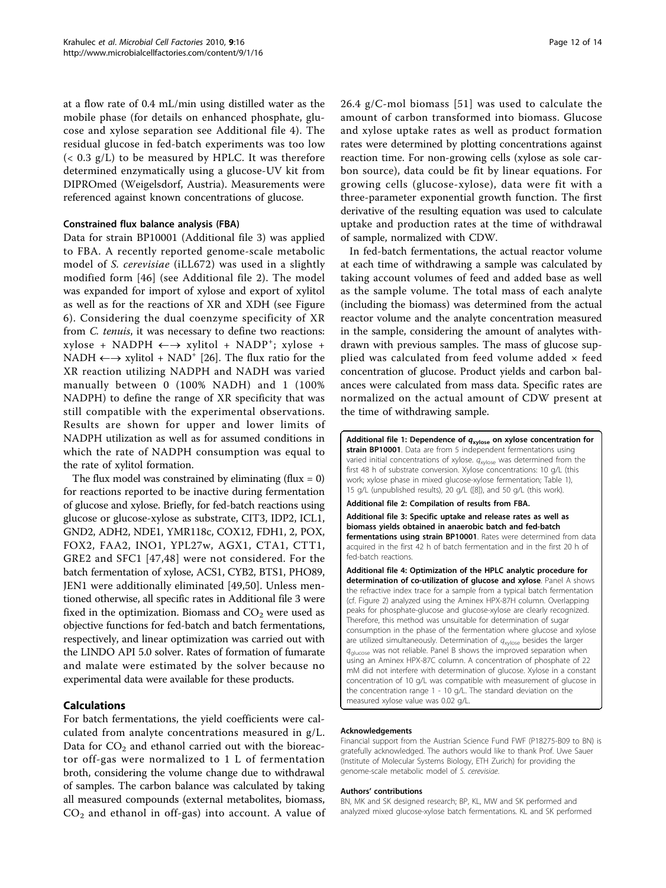<span id="page-11-0"></span>at a flow rate of 0.4 mL/min using distilled water as the mobile phase (for details on enhanced phosphate, glucose and xylose separation see Additional file 4). The residual glucose in fed-batch experiments was too low (< 0.3 g/L) to be measured by HPLC. It was therefore determined enzymatically using a glucose-UV kit from DIPROmed (Weigelsdorf, Austria). Measurements were referenced against known concentrations of glucose.

#### Constrained flux balance analysis (FBA)

Data for strain BP10001 (Additional file 3) was applied to FBA. A recently reported genome-scale metabolic model of S. cerevisiae (iLL672) was used in a slightly modified form [[46](#page-13-0)] (see Additional file 2). The model was expanded for import of xylose and export of xylitol as well as for the reactions of XR and XDH (see Figure [6\)](#page-6-0). Considering the dual coenzyme specificity of XR from C. tenuis, it was necessary to define two reactions:  $xylose + NADPH \longleftrightarrow xylitol + NADP^+; xylose +$ NADH  $\longleftrightarrow$  xylitol + NAD<sup>+</sup> [\[26](#page-12-0)]. The flux ratio for the XR reaction utilizing NADPH and NADH was varied manually between 0 (100% NADH) and 1 (100% NADPH) to define the range of XR specificity that was still compatible with the experimental observations. Results are shown for upper and lower limits of NADPH utilization as well as for assumed conditions in which the rate of NADPH consumption was equal to the rate of xylitol formation.

The flux model was constrained by eliminating (flux  $= 0$ ) for reactions reported to be inactive during fermentation of glucose and xylose. Briefly, for fed-batch reactions using glucose or glucose-xylose as substrate, CIT3, IDP2, ICL1, GND2, ADH2, NDE1, YMR118c, COX12, FDH1, 2, POX, FOX2, FAA2, INO1, YPL27w, AGX1, CTA1, CTT1, GRE2 and SFC1 [[47](#page-13-0),[48](#page-13-0)] were not considered. For the batch fermentation of xylose, ACS1, CYB2, BTS1, PHO89, JEN1 were additionally eliminated [[49,50](#page-13-0)]. Unless mentioned otherwise, all specific rates in Additional file 3 were fixed in the optimization. Biomass and  $CO<sub>2</sub>$  were used as objective functions for fed-batch and batch fermentations, respectively, and linear optimization was carried out with the LINDO API 5.0 solver. Rates of formation of fumarate and malate were estimated by the solver because no experimental data were available for these products.

# Calculations

For batch fermentations, the yield coefficients were calculated from analyte concentrations measured in g/L. Data for  $CO<sub>2</sub>$  and ethanol carried out with the bioreactor off-gas were normalized to 1 L of fermentation broth, considering the volume change due to withdrawal of samples. The carbon balance was calculated by taking all measured compounds (external metabolites, biomass,  $CO<sub>2</sub>$  and ethanol in off-gas) into account. A value of 26.4 g/C-mol biomass [[51\]](#page-13-0) was used to calculate the amount of carbon transformed into biomass. Glucose and xylose uptake rates as well as product formation rates were determined by plotting concentrations against reaction time. For non-growing cells (xylose as sole carbon source), data could be fit by linear equations. For growing cells (glucose-xylose), data were fit with a three-parameter exponential growth function. The first derivative of the resulting equation was used to calculate uptake and production rates at the time of withdrawal of sample, normalized with CDW.

In fed-batch fermentations, the actual reactor volume at each time of withdrawing a sample was calculated by taking account volumes of feed and added base as well as the sample volume. The total mass of each analyte (including the biomass) was determined from the actual reactor volume and the analyte concentration measured in the sample, considering the amount of analytes withdrawn with previous samples. The mass of glucose supplied was calculated from feed volume added × feed concentration of glucose. Product yields and carbon balances were calculated from mass data. Specific rates are normalized on the actual amount of CDW present at the time of withdrawing sample.

Additional file 1: Dependence of  $q_{xylose}$  on xylose concentration for strain BP10001. Data are from 5 independent fermentations using varied initial concentrations of xylose.  $q_{xylose}$  was determined from the first 48 h of substrate conversion. Xylose concentrations: 10 g/L (this work; xylose phase in mixed glucose-xylose fermentation; Table [1\)](#page-2-0), 15 g/L (unpublished results), 20 g/L ([\[8](#page-12-0)]), and 50 g/L (this work).

Additional file 2: Compilation of results from FBA.

Additional file 3: Specific uptake and release rates as well as biomass yields obtained in anaerobic batch and fed-batch fermentations using strain BP10001. Rates were determined from data acquired in the first 42 h of batch fermentation and in the first 20 h of fed-batch reactions.

Additional file 4: Optimization of the HPLC analytic procedure for determination of co-utilization of glucose and xylose. Panel A shows the refractive index trace for a sample from a typical batch fermentation (cf. Figure [2\)](#page-3-0) analyzed using the Aminex HPX-87H column. Overlapping peaks for phosphate-glucose and glucose-xylose are clearly recognized. Therefore, this method was unsuitable for determination of sugar consumption in the phase of the fermentation where glucose and xylose are utilized simultaneously. Determination of  $q_{xy\text{lose}}$  besides the larger  $q_{\text{glucose}}$  was not reliable. Panel B shows the improved separation when using an Aminex HPX-87C column. A concentration of phosphate of 22 mM did not interfere with determination of glucose. Xylose in a constant concentration of 10 g/L was compatible with measurement of glucose in the concentration range 1 - 10 g/L. The standard deviation on the measured xylose value was 0.02 g/L.

#### Acknowledgements

Financial support from the Austrian Science Fund FWF (P18275-B09 to BN) is gratefully acknowledged. The authors would like to thank Prof. Uwe Sauer (Institute of Molecular Systems Biology, ETH Zurich) for providing the genome-scale metabolic model of S. cerevisiae.

#### Authors' contributions

BN, MK and SK designed research; BP, KL, MW and SK performed and analyzed mixed glucose-xylose batch fermentations. KL and SK performed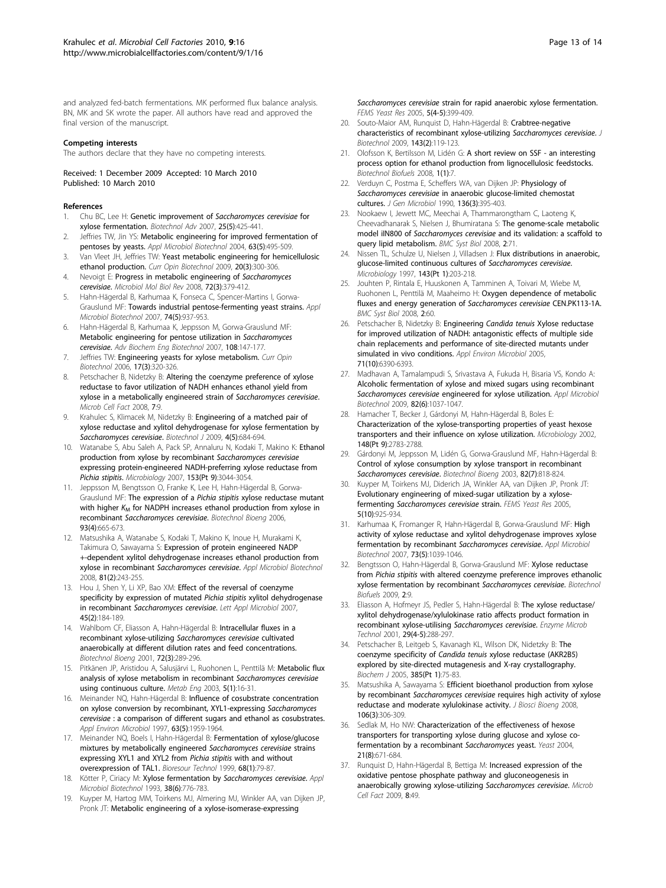<span id="page-12-0"></span>and analyzed fed-batch fermentations. MK performed flux balance analysis. BN, MK and SK wrote the paper. All authors have read and approved the final version of the manuscript.

#### Competing interests

The authors declare that they have no competing interests.

Received: 1 December 2009 Accepted: 10 March 2010 Published: 10 March 2010

#### References

- 1. Chu BC, Lee H: [Genetic improvement of](http://www.ncbi.nlm.nih.gov/pubmed/17524590?dopt=Abstract) Saccharomyces cerevisiae for [xylose fermentation.](http://www.ncbi.nlm.nih.gov/pubmed/17524590?dopt=Abstract) Biotechnol Adv 2007, 25(5):425-441.
- 2. Jeffries TW, Jin YS: [Metabolic engineering for improved fermentation of](http://www.ncbi.nlm.nih.gov/pubmed/14595523?dopt=Abstract) [pentoses by yeasts.](http://www.ncbi.nlm.nih.gov/pubmed/14595523?dopt=Abstract) Appl Microbiol Biotechnol 2004, 63(5):495-509.
- 3. Van Vleet JH, Jeffries TW: [Yeast metabolic engineering for hemicellulosic](http://www.ncbi.nlm.nih.gov/pubmed/19545992?dopt=Abstract) [ethanol production.](http://www.ncbi.nlm.nih.gov/pubmed/19545992?dopt=Abstract) Curr Opin Biotechnol 2009, 20(3):300-306.
- 4. Nevoigt E: [Progress in metabolic engineering of](http://www.ncbi.nlm.nih.gov/pubmed/18772282?dopt=Abstract) Saccharomyces [cerevisiae](http://www.ncbi.nlm.nih.gov/pubmed/18772282?dopt=Abstract). Microbiol Mol Biol Rev 2008, 72(3):379-412.
- 5. Hahn-Hägerdal B, Karhumaa K, Fonseca C, Spencer-Martins I, Gorwa-Grauslund MF: [Towards industrial pentose-fermenting yeast strains.](http://www.ncbi.nlm.nih.gov/pubmed/17294186?dopt=Abstract) Appl Microbiol Biotechnol 2007, 74(5):937-953.
- 6. Hahn-Hägerdal B, Karhumaa K, Jeppsson M, Gorwa-Grauslund MF: [Metabolic engineering for pentose utilization in](http://www.ncbi.nlm.nih.gov/pubmed/17846723?dopt=Abstract) Saccharomyces [cerevisiae](http://www.ncbi.nlm.nih.gov/pubmed/17846723?dopt=Abstract). Adv Biochem Eng Biotechnol 2007, 108:147-177.
- 7. Jeffries TW: [Engineering yeasts for xylose metabolism.](http://www.ncbi.nlm.nih.gov/pubmed/16713243?dopt=Abstract) Curr Opin Biotechnol 2006, 17(3):320-326.
- 8. Petschacher B, Nidetzky B: [Altering the coenzyme preference of xylose](http://www.ncbi.nlm.nih.gov/pubmed/18346277?dopt=Abstract) [reductase to favor utilization of NADH enhances ethanol yield from](http://www.ncbi.nlm.nih.gov/pubmed/18346277?dopt=Abstract) [xylose in a metabolically engineered strain of](http://www.ncbi.nlm.nih.gov/pubmed/18346277?dopt=Abstract) Saccharomyces cerevisiae. Microb Cell Fact 2008, 7:9.
- 9. Krahulec S, Klimacek M, Nidetzky B: [Engineering of a matched pair of](http://www.ncbi.nlm.nih.gov/pubmed/19452479?dopt=Abstract) [xylose reductase and xylitol dehydrogenase for xylose fermentation by](http://www.ncbi.nlm.nih.gov/pubmed/19452479?dopt=Abstract) [Saccharomyces cerevisiae](http://www.ncbi.nlm.nih.gov/pubmed/19452479?dopt=Abstract). Biotechnol J 2009, 4(5):684-694.
- 10. Watanabe S, Abu Saleh A, Pack SP, Annaluru N, Kodaki T, Makino K: [Ethanol](http://www.ncbi.nlm.nih.gov/pubmed/17768247?dopt=Abstract) [production from xylose by recombinant](http://www.ncbi.nlm.nih.gov/pubmed/17768247?dopt=Abstract) Saccharomyces cerevisiae [expressing protein-engineered NADH-preferring xylose reductase from](http://www.ncbi.nlm.nih.gov/pubmed/17768247?dopt=Abstract) [Pichia stipitis](http://www.ncbi.nlm.nih.gov/pubmed/17768247?dopt=Abstract). Microbiology 2007, 153(Pt 9):3044-3054.
- 11. Jeppsson M, Bengtsson O, Franke K, Lee H, Hahn-Hägerdal B, Gorwa-Grauslund MF: The expression of a Pichia stipitis [xylose reductase mutant](http://www.ncbi.nlm.nih.gov/pubmed/16372361?dopt=Abstract) [with higher](http://www.ncbi.nlm.nih.gov/pubmed/16372361?dopt=Abstract)  $K_M$  [for NADPH increases ethanol production from xylose in](http://www.ncbi.nlm.nih.gov/pubmed/16372361?dopt=Abstract) recombinant [Saccharomyces cerevisiae](http://www.ncbi.nlm.nih.gov/pubmed/16372361?dopt=Abstract). Biotechnol Bioeng 2006, 93(4):665-673.
- 12. Matsushika A, Watanabe S, Kodaki T, Makino K, Inoue H, Murakami K, Takimura O, Sawayama S: [Expression of protein engineered NADP](http://www.ncbi.nlm.nih.gov/pubmed/18751695?dopt=Abstract) [+-dependent xylitol dehydrogenase increases ethanol production from](http://www.ncbi.nlm.nih.gov/pubmed/18751695?dopt=Abstract) [xylose in recombinant](http://www.ncbi.nlm.nih.gov/pubmed/18751695?dopt=Abstract) Saccharomyces cerevisiae. Appl Microbiol Biotechnol 2008, 81(2):243-255.
- 13. Hou J, Shen Y, Li XP, Bao XM: [Effect of the reversal of coenzyme](http://www.ncbi.nlm.nih.gov/pubmed/17651216?dopt=Abstract) [specificity by expression of mutated](http://www.ncbi.nlm.nih.gov/pubmed/17651216?dopt=Abstract) Pichia stipitis xylitol dehydrogenase in recombinant [Saccharomyces cerevisiae](http://www.ncbi.nlm.nih.gov/pubmed/17651216?dopt=Abstract). Lett Appl Microbiol 2007, 45(2):184-189.
- 14. Wahlbom CF, Eliasson A, Hahn-Hägerdal B: [Intracellular fluxes in a](http://www.ncbi.nlm.nih.gov/pubmed/11135198?dopt=Abstract) [recombinant xylose-utilizing](http://www.ncbi.nlm.nih.gov/pubmed/11135198?dopt=Abstract) Saccharomyces cerevisiae cultivated [anaerobically at different dilution rates and feed concentrations.](http://www.ncbi.nlm.nih.gov/pubmed/11135198?dopt=Abstract) Biotechnol Bioeng 2001, 72(3):289-296.
- 15. Pitkänen JP, Aristidou A, Salusjärvi L, Ruohonen L, Penttilä M: [Metabolic flux](http://www.ncbi.nlm.nih.gov/pubmed/12749841?dopt=Abstract) [analysis of xylose metabolism in recombinant](http://www.ncbi.nlm.nih.gov/pubmed/12749841?dopt=Abstract) Saccharomyces cerevisiae [using continuous culture.](http://www.ncbi.nlm.nih.gov/pubmed/12749841?dopt=Abstract) Metab Eng 2003, 5(1):16-31.
- 16. Meinander NQ, Hahn-Hägerdal B: [Influence of cosubstrate concentration](http://www.ncbi.nlm.nih.gov/pubmed/9143128?dopt=Abstract) [on xylose conversion by recombinant, XYL1-expressing](http://www.ncbi.nlm.nih.gov/pubmed/9143128?dopt=Abstract) Saccharomyces cerevisiae [: a comparison of different sugars and ethanol as cosubstrates.](http://www.ncbi.nlm.nih.gov/pubmed/9143128?dopt=Abstract) Appl Environ Microbiol 1997, 63(5):1959-1964.
- 17. Meinander NQ, Boels I, Hahn-Hägerdal B: Fermentation of xylose/glucose mixtures by metabolically engineered Saccharomyces cerevisiae strains expressing XYL1 and XYL2 from Pichia stipitis with and without overexpression of TAL1. Bioresour Technol 1999, 68(1):79-87.
- 18. Kötter P, Ciriacy M: Xylose fermentation by Saccharomyces cerevisiae. Appl Microbiol Biotechnol 1993, 38(6):776-783.
- 19. Kuyper M, Hartog MM, Toirkens MJ, Almering MJ, Winkler AA, van Dijken JP, Pronk JT: [Metabolic engineering of a xylose-isomerase-expressing](http://www.ncbi.nlm.nih.gov/pubmed/15691745?dopt=Abstract)

Saccharomyces cerevisiae [strain for rapid anaerobic xylose fermentation.](http://www.ncbi.nlm.nih.gov/pubmed/15691745?dopt=Abstract) FEMS Yeast Res 2005, 5(4-5):399-409.

- 20. Souto-Maior AM, Runquist D, Hahn-Hägerdal B: [Crabtree-negative](http://www.ncbi.nlm.nih.gov/pubmed/19560495?dopt=Abstract) [characteristics of recombinant xylose-utilizing](http://www.ncbi.nlm.nih.gov/pubmed/19560495?dopt=Abstract) Saccharomyces cerevisiae. J Biotechnol 2009, 143(2):119-123.
- 21. Olofsson K, Bertilsson M, Lidén G: [A short review on SSF an interesting](http://www.ncbi.nlm.nih.gov/pubmed/18471273?dopt=Abstract) [process option for ethanol production from lignocellulosic feedstocks.](http://www.ncbi.nlm.nih.gov/pubmed/18471273?dopt=Abstract) Biotechnol Biofuels 2008, 1(1):7.
- 22. Verduyn C, Postma E, Scheffers WA, van Dijken JP: [Physiology of](http://www.ncbi.nlm.nih.gov/pubmed/1975265?dopt=Abstract) Saccharomyces cerevisiae [in anaerobic glucose-limited chemostat](http://www.ncbi.nlm.nih.gov/pubmed/1975265?dopt=Abstract) [cultures.](http://www.ncbi.nlm.nih.gov/pubmed/1975265?dopt=Abstract) J Gen Microbiol 1990, 136(3):395-403.
- 23. Nookaew I, Jewett MC, Meechai A, Thammarongtham C, Laoteng K, Cheevadhanarak S, Nielsen J, Bhumiratana S: [The genome-scale metabolic](http://www.ncbi.nlm.nih.gov/pubmed/18687109?dopt=Abstract) model iIN800 of Saccharomyces cerevisiae [and its validation: a scaffold to](http://www.ncbi.nlm.nih.gov/pubmed/18687109?dopt=Abstract) [query lipid metabolism.](http://www.ncbi.nlm.nih.gov/pubmed/18687109?dopt=Abstract) BMC Syst Biol 2008, 2:71.
- 24. Nissen TL, Schulze U, Nielsen J, Villadsen J: [Flux distributions in anaerobic,](http://www.ncbi.nlm.nih.gov/pubmed/9025295?dopt=Abstract) [glucose-limited continuous cultures of](http://www.ncbi.nlm.nih.gov/pubmed/9025295?dopt=Abstract) Saccharomyces cerevisiae. Microbiology 1997, 143(Pt 1):203-218.
- 25. Jouhten P, Rintala E, Huuskonen A, Tamminen A, Toivari M, Wiebe M, Ruohonen L, Penttilä M, Maaheimo H: [Oxygen dependence of metabolic](http://www.ncbi.nlm.nih.gov/pubmed/18613954?dopt=Abstract) [fluxes and energy generation of](http://www.ncbi.nlm.nih.gov/pubmed/18613954?dopt=Abstract) Saccharomyces cerevisiae CEN.PK113-1A. BMC Syst Biol 2008, 2:60.
- 26. Petschacher B, Nidetzky B: Engineering Candida tenuis [Xylose reductase](http://www.ncbi.nlm.nih.gov/pubmed/16204564?dopt=Abstract) [for improved utilization of NADH: antagonistic effects of multiple side](http://www.ncbi.nlm.nih.gov/pubmed/16204564?dopt=Abstract) [chain replacements and performance of site-directed mutants under](http://www.ncbi.nlm.nih.gov/pubmed/16204564?dopt=Abstract) [simulated in vivo conditions.](http://www.ncbi.nlm.nih.gov/pubmed/16204564?dopt=Abstract) Appl Environ Microbiol 2005, 71(10):6390-6393.
- 27. Madhavan A, Tamalampudi S, Srivastava A, Fukuda H, Bisaria VS, Kondo A: [Alcoholic fermentation of xylose and mixed sugars using recombinant](http://www.ncbi.nlm.nih.gov/pubmed/19125247?dopt=Abstract) Saccharomyces cerevisiae [engineered for xylose utilization.](http://www.ncbi.nlm.nih.gov/pubmed/19125247?dopt=Abstract) Appl Microbiol Biotechnol 2009, 82(6):1037-1047.
- Hamacher T, Becker J, Gárdonyi M, Hahn-Hägerdal B, Boles E: [Characterization of the xylose-transporting properties of yeast hexose](http://www.ncbi.nlm.nih.gov/pubmed/12213924?dopt=Abstract) [transporters and their influence on xylose utilization.](http://www.ncbi.nlm.nih.gov/pubmed/12213924?dopt=Abstract) Microbiology 2002, 148(Pt 9):2783-2788.
- 29. Gárdonyi M, Jeppsson M, Lidén G, Gorwa-Grauslund MF, Hahn-Hägerdal B: [Control of xylose consumption by xylose transport in recombinant](http://www.ncbi.nlm.nih.gov/pubmed/12701148?dopt=Abstract) [Saccharomyces cerevisiae](http://www.ncbi.nlm.nih.gov/pubmed/12701148?dopt=Abstract). Biotechnol Bioeng 2003, 82(7):818-824.
- Kuyper M, Toirkens MJ, Diderich JA, Winkler AA, van Dijken JP, Pronk JT: [Evolutionary engineering of mixed-sugar utilization by a xylose](http://www.ncbi.nlm.nih.gov/pubmed/15949975?dopt=Abstract)fermenting [Saccharomyces cerevisiae](http://www.ncbi.nlm.nih.gov/pubmed/15949975?dopt=Abstract) strain. FEMS Yeast Res 2005, 5(10):925-934.
- 31. Karhumaa K, Fromanger R, Hahn-Hägerdal B, Gorwa-Grauslund MF: [High](http://www.ncbi.nlm.nih.gov/pubmed/16977466?dopt=Abstract) [activity of xylose reductase and xylitol dehydrogenase improves xylose](http://www.ncbi.nlm.nih.gov/pubmed/16977466?dopt=Abstract) [fermentation by recombinant](http://www.ncbi.nlm.nih.gov/pubmed/16977466?dopt=Abstract) Saccharomyces cerevisiae. Appl Microbiol Biotechnol 2007, 73(5):1039-1046.
- 32. Bengtsson O, Hahn-Hägerdal B, Gorwa-Grauslund MF: [Xylose reductase](http://www.ncbi.nlm.nih.gov/pubmed/19416504?dopt=Abstract) from Pichia stipitis [with altered coenzyme preference improves ethanolic](http://www.ncbi.nlm.nih.gov/pubmed/19416504?dopt=Abstract) [xylose fermentation by recombinant](http://www.ncbi.nlm.nih.gov/pubmed/19416504?dopt=Abstract) Saccharomyces cerevisiae. Biotechnol Biofuels 2009, 2:9.
- 33. Eliasson A, Hofmeyr JS, Pedler S, Hahn-Hägerdal B: The xylose reductase/ xylitol dehydrogenase/xylulokinase ratio affects product formation in recombinant xylose-utilising Saccharomyces cerevisiae. Enzyme Microb Technol 2001, 29(4-5):288-297.
- 34. Petschacher B, Leitgeb S, Kavanagh KL, Wilson DK, Nidetzky B: [The](http://www.ncbi.nlm.nih.gov/pubmed/15320875?dopt=Abstract) coenzyme specificity of Candida tenuis [xylose reductase \(AKR2B5\)](http://www.ncbi.nlm.nih.gov/pubmed/15320875?dopt=Abstract) [explored by site-directed mutagenesis and X-ray crystallography.](http://www.ncbi.nlm.nih.gov/pubmed/15320875?dopt=Abstract) Biochem J 2005, 385(Pt 1):75-83.
- 35. Matsushika A, Sawayama S: [Efficient bioethanol production from xylose](http://www.ncbi.nlm.nih.gov/pubmed/18930011?dopt=Abstract) by recombinant Saccharomyces cerevisiae [requires high activity of xylose](http://www.ncbi.nlm.nih.gov/pubmed/18930011?dopt=Abstract) [reductase and moderate xylulokinase activity.](http://www.ncbi.nlm.nih.gov/pubmed/18930011?dopt=Abstract) J Biosci Bioeng 2008, 106(3):306-309.
- Sedlak M, Ho NW: [Characterization of the effectiveness of hexose](http://www.ncbi.nlm.nih.gov/pubmed/15197732?dopt=Abstract) [transporters for transporting xylose during glucose and xylose co](http://www.ncbi.nlm.nih.gov/pubmed/15197732?dopt=Abstract)[fermentation by a recombinant](http://www.ncbi.nlm.nih.gov/pubmed/15197732?dopt=Abstract) Saccharomyces yeast. Yeast 2004, 21(8):671-684.
- 37. Runquist D, Hahn-Hägerdal B, Bettiga M: [Increased expression of the](http://www.ncbi.nlm.nih.gov/pubmed/19778438?dopt=Abstract) [oxidative pentose phosphate pathway and gluconeogenesis in](http://www.ncbi.nlm.nih.gov/pubmed/19778438?dopt=Abstract) [anaerobically growing xylose-utilizing](http://www.ncbi.nlm.nih.gov/pubmed/19778438?dopt=Abstract) Saccharomyces cerevisiae. Microb Cell Fact 2009, 8:49.